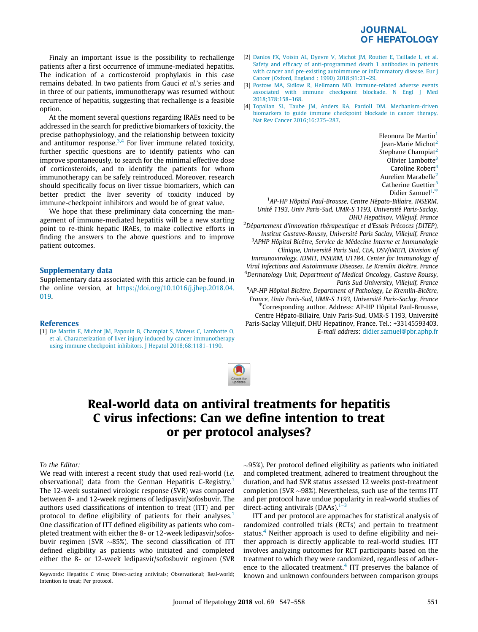### **JOURNAL OF HEPATOLOGY**

<span id="page-0-0"></span>Finaly an important issue is the possibility to rechallenge patients after a first occurrence of immune-mediated hepatitis. The indication of a corticosteroid prophylaxis in this case remains debated. In two patients from Gauci et al.'s series and in three of our patients, immunotherapy was resumed without recurrence of hepatitis, suggesting that rechallenge is a feasible option.

At the moment several questions regarding IRAEs need to be addressed in the search for predictive biomarkers of toxicity, the precise pathophysiology, and the relationship between toxicity and antitumor response. $3,4$  For liver immune related toxicity, further specific questions are to identify patients who can improve spontaneously, to search for the minimal effective dose of corticosteroids, and to identify the patients for whom immunotherapy can be safely reintroduced. Moreover, research should specifically focus on liver tissue biomarkers, which can better predict the liver severity of toxicity induced by immune-checkpoint inhibitors and would be of great value.

We hope that these preliminary data concerning the management of immune-mediated hepatitis will be a new starting point to re-think hepatic IRAEs, to make collective efforts in finding the answers to the above questions and to improve patient outcomes.

#### Supplementary data

Supplementary data associated with this article can be found, in the online version, at [https://doi.org/10.1016/j.jhep.2018.04.](https://doi.org/10.1016/j.jhep.2018.05.003) [019.](https://doi.org/10.1016/j.jhep.2018.05.003)

#### References

[1] [De Martin E, Michot JM, Papouin B, Champiat S, Mateus C, Lambotte O,](http://refhub.elsevier.com/S0168-8278(18)32020-8/h0005) [et al. Characterization of liver injury induced by cancer immunotherapy](http://refhub.elsevier.com/S0168-8278(18)32020-8/h0005) [using immune checkpoint inhibitors. J Hepatol 2018;68:1181–1190.](http://refhub.elsevier.com/S0168-8278(18)32020-8/h0005)

- [2] [Danlos FX, Voisin AL, Dyevre V, Michot JM, Routier E, Taillade L, et al.](http://refhub.elsevier.com/S0168-8278(18)32020-8/h0010) [Safety and efficacy of anti-programmed death 1 antibodies in patients](http://refhub.elsevier.com/S0168-8278(18)32020-8/h0010) [with cancer and pre-existing autoimmune or inflammatory disease. Eur J](http://refhub.elsevier.com/S0168-8278(18)32020-8/h0010) [Cancer \(Oxford, England : 1990\) 2018;91:21–29.](http://refhub.elsevier.com/S0168-8278(18)32020-8/h0010)
- [3] [Postow MA, Sidlow R, Hellmann MD. Immune-related adverse events](http://refhub.elsevier.com/S0168-8278(18)32020-8/h0015) [associated with immune checkpoint blockade. N Engl J Med](http://refhub.elsevier.com/S0168-8278(18)32020-8/h0015) [2018;378:158–168](http://refhub.elsevier.com/S0168-8278(18)32020-8/h0015).
- [4] [Topalian SL, Taube JM, Anders RA, Pardoll DM. Mechanism-driven](http://refhub.elsevier.com/S0168-8278(18)32020-8/h0020) [biomarkers to guide immune checkpoint blockade in cancer therapy.](http://refhub.elsevier.com/S0168-8278(18)32020-8/h0020) [Nat Rev Cancer 2016;16:275–287](http://refhub.elsevier.com/S0168-8278(18)32020-8/h0020).

Eleonora De Martin<sup>1</sup> Jean-Marie Michot<sup>2</sup> Stephane Champiat<sup>2</sup> Olivier Lambotte<sup>3</sup> Caroline Robert $<sup>4</sup>$ </sup> Aurelien Marabelle<sup>2</sup> Catherine Guettier<sup>5</sup> Didier Samuel<sup>1,\*</sup>

<sup>1</sup>AP-HP Hôpital Paul-Brousse, Centre Hépato-Biliaire, INSERM, Unité 1193, Univ Paris-Sud, UMR-S 1193, Université Paris-Saclay, DHU Hepatinov, Villejuif, France

<sup>2</sup>Département d'innovation thérapeutique et d'Essais Précoces (DITEP), Institut Gustave-Roussy, Université Paris Saclay, Villejuif, France <sup>3</sup>APHP Hôpital Bicêtre, Service de Médecine Interne et Immunologie Clinique, Université Paris Sud, CEA, DSV/iMETI, Division of Immunovirology, IDMIT, INSERM, U1184, Center for Immunology of Viral Infections and Autoimmune Diseases, Le Kremlin Bicêtre, France <sup>4</sup>Dermatology Unit, Department of Medical Oncology, Gustave Roussy,

Paris Sud University, Villejuif, France 5 AP-HP Hôpital Bicêtre, Department of Pathology, Le Kremlin-Bicêtre, France, Univ Paris-Sud, UMR-S 1193, Université Paris-Saclay, France<br>Corresponding author. Address: AP-HP Hôpital Paul-Brousse, Centre Hépato-Biliaire, Univ Paris-Sud, UMR-S 1193, Université

Paris-Saclay Villejuif, DHU Hepatinov, France. Tel.: +33145593403. E-mail address: [didier.samuel@pbr.aphp.fr](mailto:didier.samuel@pbr.aphp.fr)



## Real-world data on antiviral treatments for hepatitis C virus infections: Can we define intention to treat or per protocol analyses?

#### To the Editor:

We read with interest a recent study that used real-world (i.e. observational) data from the German Hepatitis C-Registry.<sup>1</sup> The 12-week sustained virologic response (SVR) was compared between 8- and 12-week regimens of ledipasvir/sofosbuvir. The authors used classifications of intention to treat (ITT) and per protocol to define eligibility of patients for their analyses.<sup>1</sup> One classification of ITT defined eligibility as patients who completed treatment with either the 8- or 12-week ledipasvir/sofosbuvir regimen (SVR  $\sim$ 85%). The second classification of ITT defined eligibility as patients who initiated and completed either the 8- or 12-week ledipasvir/sofosbuvir regimen (SVR

 $\sim$ 95%). Per protocol defined eligibility as patients who initiated and completed treatment, adhered to treatment throughout the duration, and had SVR status assessed 12 weeks post-treatment completion (SVR  $\sim$ 98%). Nevertheless, such use of the terms ITT and per protocol have undue popularity in real-world studies of direct-acting antivirals (DAAs). $1-\frac{3}{2}$ 

ITT and per protocol are approaches for statistical analysis of randomized controlled trials (RCTs) and pertain to treatment status.<sup>4</sup> Neither approach is used to define eligibility and neither approach is directly applicable to real-world studies. ITT involves analyzing outcomes for RCT participants based on the treatment to which they were randomized, regardless of adherence to the allocated treatment.<sup>4</sup> ITT preserves the balance of Keywords: Hepatitis C virus; Direct-acting antivirals; Observational; Real-world; known and unknown confounders between comparison groups

Intention to treat; Per protocol.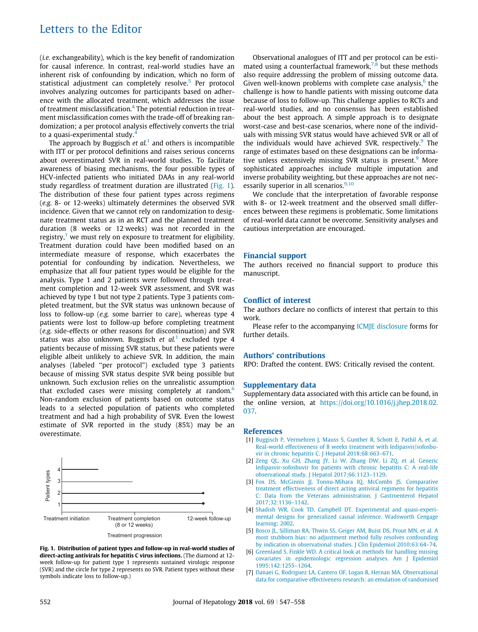## Letters to the Editor

(i.e. exchangeability), which is the key benefit of randomization for causal inference. In contrast, real-world studies have an inherent risk of confounding by indication, which no form of statistical adjustment can completely resolve.<sup>5</sup> Per protocol involves analyzing outcomes for participants based on adherence with the allocated treatment, which addresses the issue of treatment misclassification.[4](#page-0-0) The potential reduction in treatment misclassification comes with the trade-off of breaking randomization; a per protocol analysis effectively converts the trial to a quasi-experimental study.<sup>[4](#page-0-0)</sup>

The approach by Buggisch et  $al<sup>1</sup>$  $al<sup>1</sup>$  $al<sup>1</sup>$  and others is incompatible with ITT or per protocol definitions and raises serious concerns about overestimated SVR in real-world studies. To facilitate awareness of biasing mechanisms, the four possible types of HCV-infected patients who initiated DAAs in any real-world study regardless of treatment duration are illustrated (Fig. 1). The distribution of these four patient types across regimens (e.g. 8- or 12-weeks) ultimately determines the observed SVR incidence. Given that we cannot rely on randomization to designate treatment status as in an RCT and the planned treatment duration (8 weeks or 12 weeks) was not recorded in the registry, $1$  we must rely on exposure to treatment for eligibility. Treatment duration could have been modified based on an intermediate measure of response, which exacerbates the potential for confounding by indication. Nevertheless, we emphasize that all four patient types would be eligible for the analysis. Type 1 and 2 patients were followed through treatment completion and 12-week SVR assessment, and SVR was achieved by type 1 but not type 2 patients. Type 3 patients completed treatment, but the SVR status was unknown because of loss to follow-up (e.g. some barrier to care), whereas type 4 patients were lost to follow-up before completing treatment (e.g. side-effects or other reasons for discontinuation) and SVR status was also unknown. Buggisch et  $al<sup>1</sup>$  $al<sup>1</sup>$  $al<sup>1</sup>$  excluded type 4 patients because of missing SVR status, but these patients were eligible albeit unlikely to achieve SVR. In addition, the main analyses (labeled ''per protocol") excluded type 3 patients because of missing SVR status despite SVR being possible but unknown. Such exclusion relies on the unrealistic assumption that excluded cases were missing completely at random.<sup>6</sup> Non-random exclusion of patients based on outcome status leads to a selected population of patients who completed treatment and had a high probability of SVR. Even the lowest estimate of SVR reported in the study (85%) may be an overestimate.



Fig. 1. Distribution of patient types and follow-up in real-world studies of direct-acting antivirals for hepatitis C virus infections. (The diamond at 12 week follow-up for patient type 1 represents sustained virologic response (SVR) and the circle for type 2 represents no SVR. Patient types without these symbols indicate loss to follow-up.)

Observational analogues of ITT and per protocol can be estimated using a counterfactual framework,  $7\text{.8}$  but these methods also require addressing the problem of missing outcome data. Given well-known problems with complete case analysis, $\frac{6}{5}$  the challenge is how to handle patients with missing outcome data because of loss to follow-up. This challenge applies to RCTs and real-world studies, and no consensus has been established about the best approach. A simple approach is to designate worst-case and best-case scenarios, where none of the individuals with missing SVR status would have achieved SVR or all of the individuals would have achieved SVR, respectively. $9$  The range of estimates based on these designations can be informa-tive unless extensively missing SVR status is present.<sup>[9](#page-2-0)</sup> More sophisticated approaches include multiple imputation and inverse probability weighting, but these approaches are not necessarily superior in all scenarios. $9,10$ 

We conclude that the interpretation of favorable response with 8- or 12-week treatment and the observed small differences between these regimens is problematic. Some limitations of real-world data cannot be overcome. Sensitivity analyses and cautious interpretation are encouraged.

#### Financial support

The authors received no financial support to produce this manuscript.

#### Conflict of interest

The authors declare no conflicts of interest that pertain to this work.

Please refer to the accompanying ICMJE disclosure forms for further details.

#### Authors' contributions

RPO: Drafted the content. EWS: Critically revised the content.

#### Supplementary data

Supplementary data associated with this article can be found, in the online version, at [https://doi.org/10.1016/j.jhep.2018.02.](https://doi.org/10.1016/j.jhep.2018.05.003) [037.](https://doi.org/10.1016/j.jhep.2018.05.003)

#### References

- [1] [Buggisch P, Vermehren J, Mauss S, Gunther R, Schott E, Pathil A, et al.](http://refhub.elsevier.com/S0168-8278(18)32020-8/h0005) [Real-world effectiveness of 8 weeks treatment with ledipasvir/sofosbu](http://refhub.elsevier.com/S0168-8278(18)32020-8/h0005)[vir in chronic hepatitis C. J Hepatol 2018;68:663–671](http://refhub.elsevier.com/S0168-8278(18)32020-8/h0005).
- [2] [Zeng QL, Xu GH, Zhang JY, Li W, Zhang DW, Li ZQ, et al. Generic](http://refhub.elsevier.com/S0168-8278(18)32020-8/h0010) [ledipasvir-sofosbuvir for patients with chronic hepatitis C: A real-life](http://refhub.elsevier.com/S0168-8278(18)32020-8/h0010) [observational study. J Hepatol 2017;66:1123–1129.](http://refhub.elsevier.com/S0168-8278(18)32020-8/h0010)
- [3] [Fox DS, McGinnis JJ, Tonnu-Mihara IQ, McCombs JS. Comparative](http://refhub.elsevier.com/S0168-8278(18)32020-8/h0015) [treatment effectiveness of direct acting antiviral regimens for hepatitis](http://refhub.elsevier.com/S0168-8278(18)32020-8/h0015) [C: Data from the Veterans administration. J Gastroenterol Hepatol](http://refhub.elsevier.com/S0168-8278(18)32020-8/h0015) [2017;32:1136–1142.](http://refhub.elsevier.com/S0168-8278(18)32020-8/h0015)
- [4] [Shadish WR, Cook TD, Campbell DT. Experimental and quasi-experi](http://refhub.elsevier.com/S0168-8278(18)32020-8/h0020)[mental designs for generalized causal inference. Wadsworth Cengage](http://refhub.elsevier.com/S0168-8278(18)32020-8/h0020) [learning; 2002](http://refhub.elsevier.com/S0168-8278(18)32020-8/h0020).
- [5] [Bosco JL, Silliman RA, Thwin SS, Geiger AM, Buist DS, Prout MN, et al. A](http://refhub.elsevier.com/S0168-8278(18)32020-8/h0025) [most stubborn bias: no adjustment method fully resolves confounding](http://refhub.elsevier.com/S0168-8278(18)32020-8/h0025) [by indication in observational studies. J Clin Epidemiol 2010;63:64–74](http://refhub.elsevier.com/S0168-8278(18)32020-8/h0025).
- [6] [Greenland S, Finkle WD. A critical look at methods for handling missing](http://refhub.elsevier.com/S0168-8278(18)32020-8/h0030) [covariates in epidemiologic regression analyses. Am J Epidemiol](http://refhub.elsevier.com/S0168-8278(18)32020-8/h0030) [1995;142:1255–1264.](http://refhub.elsevier.com/S0168-8278(18)32020-8/h0030)
- [7] [Danaei G, Rodriguez LA, Cantero OF, Logan R, Hernan MA. Observational](http://refhub.elsevier.com/S0168-8278(18)32020-8/h0035) [data for comparative effectiveness research: an emulation of randomised](http://refhub.elsevier.com/S0168-8278(18)32020-8/h0035)